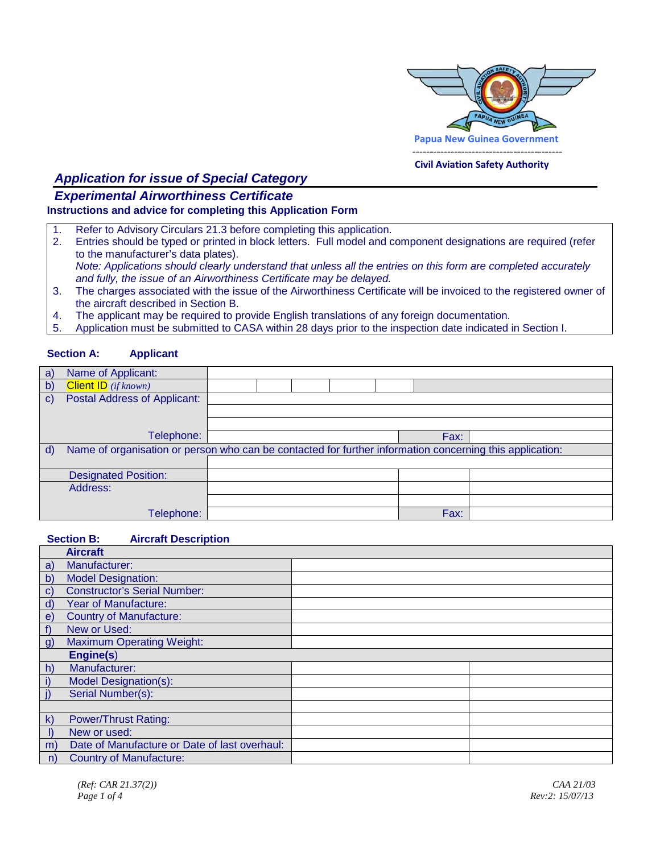

#### **Civil Aviation Safety Authority**

# *Application for issue of Special Category*

### *Experimental Airworthiness Certificate* **Instructions and advice for completing this Application Form**

- 1. Refer to Advisory Circulars 21.3 before completing this application.<br>2. Entries should be typed or printed in block letters. Full model and d
- 2. Entries should be typed or printed in block letters. Full model and component designations are required (refer to the manufacturer's data plates).
	- *Note: Applications should clearly understand that unless all the entries on this form are completed accurately and fully, the issue of an Airworthiness Certificate may be delayed.*
- 3. The charges associated with the issue of the Airworthiness Certificate will be invoiced to the registered owner of the aircraft described in Section B.
- 4. The applicant may be required to provide English translations of any foreign documentation.
- 5. Application must be submitted to CASA within 28 days prior to the inspection date indicated in Section I.

### **Section A: Applicant**

| a)           | Name of Applicant:                                                                                       |  |  |  |  |      |  |
|--------------|----------------------------------------------------------------------------------------------------------|--|--|--|--|------|--|
| b)           | <b>Client ID</b> (if known)                                                                              |  |  |  |  |      |  |
| $\mathbf{C}$ | Postal Address of Applicant:                                                                             |  |  |  |  |      |  |
|              |                                                                                                          |  |  |  |  |      |  |
|              |                                                                                                          |  |  |  |  |      |  |
|              | Telephone:                                                                                               |  |  |  |  | Fax: |  |
| d)           | Name of organisation or person who can be contacted for further information concerning this application: |  |  |  |  |      |  |
|              |                                                                                                          |  |  |  |  |      |  |
|              | <b>Designated Position:</b>                                                                              |  |  |  |  |      |  |
|              | Address:                                                                                                 |  |  |  |  |      |  |
|              |                                                                                                          |  |  |  |  |      |  |
|              | Felephone:                                                                                               |  |  |  |  | Fax: |  |

#### **Section B: Aircraft Description**

|              | <b>Aircraft</b>                               |  |
|--------------|-----------------------------------------------|--|
| a)           | Manufacturer:                                 |  |
| b)           | <b>Model Designation:</b>                     |  |
| $\mathbf{c}$ | <b>Constructor's Serial Number:</b>           |  |
| $\mathsf{d}$ | <b>Year of Manufacture:</b>                   |  |
| $\epsilon$   | <b>Country of Manufacture:</b>                |  |
| f            | New or Used:                                  |  |
| g)           | <b>Maximum Operating Weight:</b>              |  |
|              | Engine(s)                                     |  |
| h)           | Manufacturer:                                 |  |
| i)           | Model Designation(s):                         |  |
| $\vert$      | Serial Number(s):                             |  |
|              |                                               |  |
| $\mathsf{k}$ | <b>Power/Thrust Rating:</b>                   |  |
|              | New or used:                                  |  |
| m)           | Date of Manufacture or Date of last overhaul: |  |
| n)           | <b>Country of Manufacture:</b>                |  |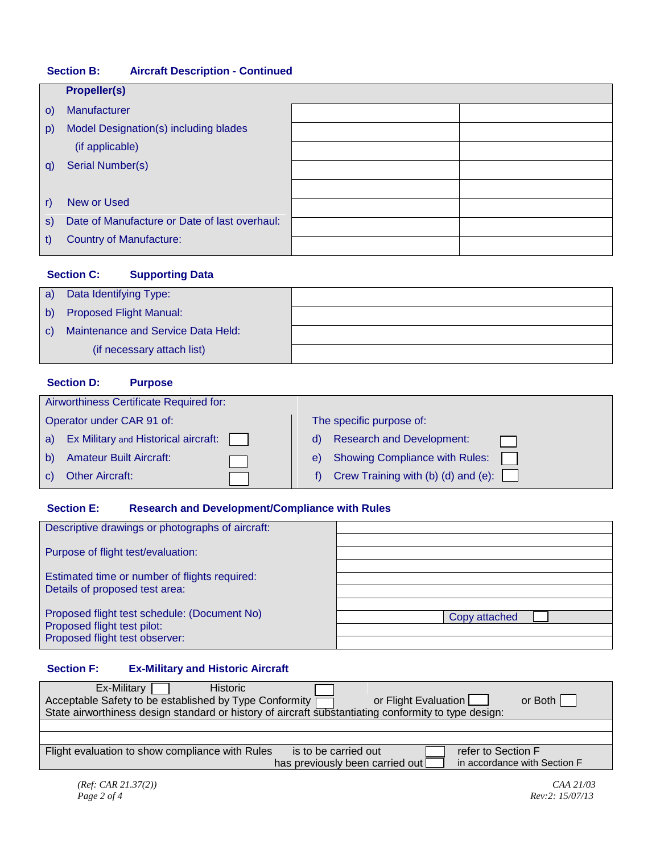# **Section B: Aircraft Description - Continued**

|         | <b>Propeller(s)</b>                           |  |  |  |  |
|---------|-----------------------------------------------|--|--|--|--|
| $\circ$ | Manufacturer                                  |  |  |  |  |
| p)      | Model Designation(s) including blades         |  |  |  |  |
|         | (if applicable)                               |  |  |  |  |
| q)      | Serial Number(s)                              |  |  |  |  |
|         |                                               |  |  |  |  |
| r)      | New or Used                                   |  |  |  |  |
| S)      | Date of Manufacture or Date of last overhaul: |  |  |  |  |
| t)      | <b>Country of Manufacture:</b>                |  |  |  |  |

# **Section C: Supporting Data**

| a)           | Data Identifying Type:             |  |
|--------------|------------------------------------|--|
|              | b) Proposed Flight Manual:         |  |
| $\mathbf{C}$ | Maintenance and Service Data Held: |  |
|              | (if necessary attach list)         |  |

## **Section D: Purpose**

|                           | Airworthiness Certificate Required for: |  |                          |                                            |  |  |  |
|---------------------------|-----------------------------------------|--|--------------------------|--------------------------------------------|--|--|--|
| Operator under CAR 91 of: |                                         |  | The specific purpose of: |                                            |  |  |  |
| a)                        | Ex Military and Historical aircraft:    |  | d)                       | <b>Research and Development:</b>           |  |  |  |
| b)                        | <b>Amateur Built Aircraft:</b>          |  | e)                       | <b>Showing Compliance with Rules:</b>      |  |  |  |
|                           | <b>Other Aircraft:</b>                  |  |                          | Crew Training with (b) (d) and (e): $\Box$ |  |  |  |

# **Section E: Research and Development/Compliance with Rules**

| Descriptive drawings or photographs of aircraft:                                                              |               |
|---------------------------------------------------------------------------------------------------------------|---------------|
| Purpose of flight test/evaluation:                                                                            |               |
| Estimated time or number of flights required:<br>Details of proposed test area:                               |               |
| Proposed flight test schedule: (Document No)<br>Proposed flight test pilot:<br>Proposed flight test observer: | Copy attached |

# **Section F: Ex-Military and Historic Aircraft**

| Ex-Military<br><b>Historic</b><br>Acceptable Safety to be established by Type Conformity<br>or Flight Evaluation<br>State airworthiness design standard or history of aircraft substantiating conformity to type design: | or Both                      |
|--------------------------------------------------------------------------------------------------------------------------------------------------------------------------------------------------------------------------|------------------------------|
|                                                                                                                                                                                                                          |                              |
|                                                                                                                                                                                                                          |                              |
| Flight evaluation to show compliance with Rules<br>is to be carried out                                                                                                                                                  | refer to Section F           |
| has previously been carried out                                                                                                                                                                                          | in accordance with Section F |
|                                                                                                                                                                                                                          | CAA 21/03                    |
| (Ref: CAR 21.37(2))                                                                                                                                                                                                      |                              |
| Page 2 of 4                                                                                                                                                                                                              | Rev:2: 15/07/13              |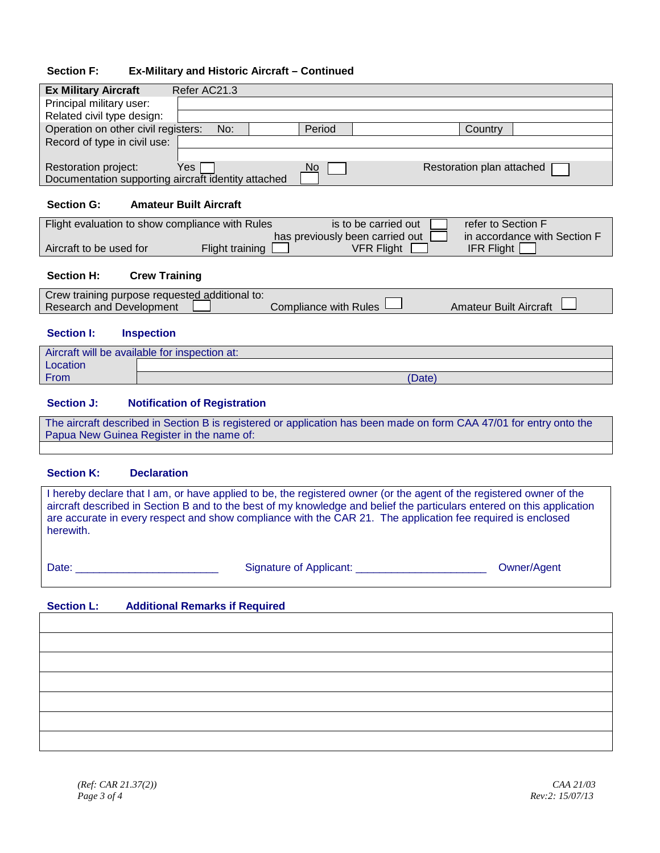### **Section F: Ex-Military and Historic Aircraft – Continued**

| <b>Ex Military Aircraft</b><br>Refer AC21.3                                                      |  |  |  |  |  |  |
|--------------------------------------------------------------------------------------------------|--|--|--|--|--|--|
| Principal military user:                                                                         |  |  |  |  |  |  |
| Related civil type design:                                                                       |  |  |  |  |  |  |
| Operation on other civil registers:<br>Period<br>No:<br>Country                                  |  |  |  |  |  |  |
| Record of type in civil use:                                                                     |  |  |  |  |  |  |
|                                                                                                  |  |  |  |  |  |  |
| Yes<br>Restoration plan attached<br>Restoration project:<br>No                                   |  |  |  |  |  |  |
| Documentation supporting aircraft identity attached                                              |  |  |  |  |  |  |
|                                                                                                  |  |  |  |  |  |  |
| <b>Section G:</b><br><b>Amateur Built Aircraft</b>                                               |  |  |  |  |  |  |
| refer to Section F<br>Flight evaluation to show compliance with Rules<br>is to be carried out    |  |  |  |  |  |  |
| has previously been carried out<br>in accordance with Section F                                  |  |  |  |  |  |  |
| Aircraft to be used for<br><b>VFR Flight</b><br><b>IFR Flight</b><br>Flight training             |  |  |  |  |  |  |
|                                                                                                  |  |  |  |  |  |  |
| <b>Section H:</b><br><b>Crew Training</b>                                                        |  |  |  |  |  |  |
| Crew training purpose requested additional to:                                                   |  |  |  |  |  |  |
| <b>Research and Development</b><br><b>Compliance with Rules</b><br><b>Amateur Built Aircraft</b> |  |  |  |  |  |  |
|                                                                                                  |  |  |  |  |  |  |
| <b>Section I:</b><br><b>Inspection</b>                                                           |  |  |  |  |  |  |
| Aircraft will be available for inspection at:                                                    |  |  |  |  |  |  |
| Location                                                                                         |  |  |  |  |  |  |
| From<br>(Date)                                                                                   |  |  |  |  |  |  |
|                                                                                                  |  |  |  |  |  |  |
| <b>Section J:</b><br><b>Notification of Registration</b>                                         |  |  |  |  |  |  |

The aircraft described in Section B is registered or application has been made on form CAA 47/01 for entry onto the Papua New Guinea Register in the name of:

#### **Section K: Declaration**

I hereby declare that I am, or have applied to be, the registered owner (or the agent of the registered owner of the aircraft described in Section B and to the best of my knowledge and belief the particulars entered on this application are accurate in every respect and show compliance with the CAR 21. The application fee required is enclosed herewith.

Date: \_\_\_\_\_\_\_\_\_\_\_\_\_\_\_\_\_\_\_\_\_\_\_\_ Signature of Applicant: \_\_\_\_\_\_\_\_\_\_\_\_\_\_\_\_\_\_\_\_\_\_ Owner/Agent

#### **Section L: Additional Remarks if Required**